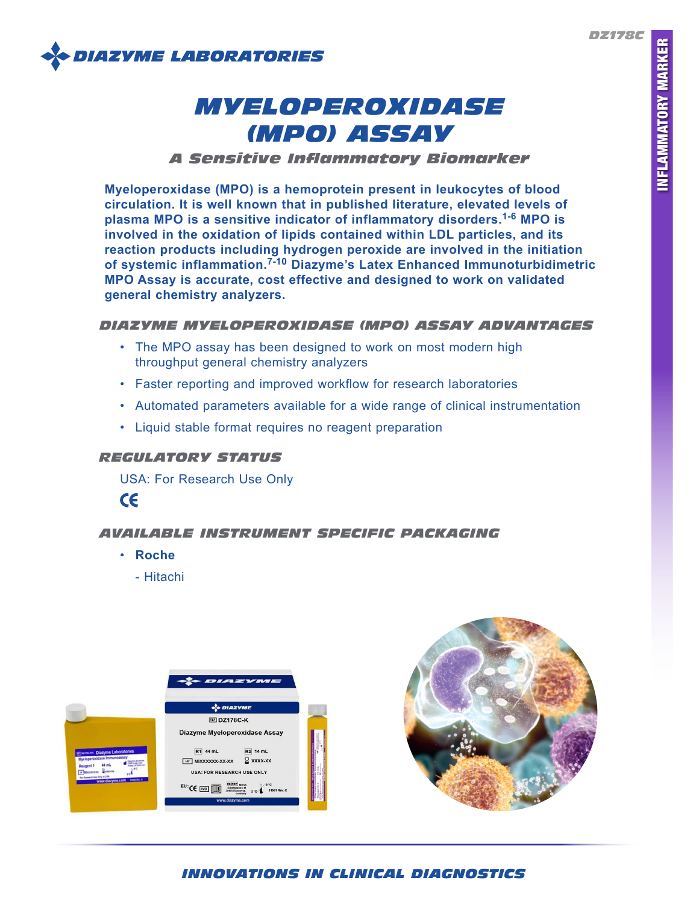*DZ178C*



# *MYELOPEROXIDASE (MPO) ASSAY*

## *A Sensitive Inflammatory Biomarker*

**Myeloperoxidase (MPO) is a hemoprotein present in leukocytes of blood circulation. It is well known that in published literature, elevated levels of plasma MPO is a sensitive indicator of inflammatory disorders.1-6 MPO is involved in the oxidation of lipids contained within LDL particles, and its reaction products including hydrogen peroxide are involved in the initiation of systemic inflammation.7-10 Diazyme's Latex Enhanced Immunoturbidimetric MPO Assay is accurate, cost effective and designed to work on validated general chemistry analyzers.**

## *DIAZYME MYELOPEROXIDASE (MPO) ASSAY ADVANTAGES*

- The MPO assay has been designed to work on most modern high throughput general chemistry analyzers
- Faster reporting and improved workflow for research laboratories
- Automated parameters available for a wide range of clinical instrumentation
- Liquid stable format requires no reagent preparation

## *REGULATORY STATUS*

USA: For Research Use Only



# *AVAILABLE INSTRUMENT SPECIFIC PACKAGING*

- **Roche**
	- Hitachi





# *INNOVATIONS IN CLINICAL DIAGNOSTICS*